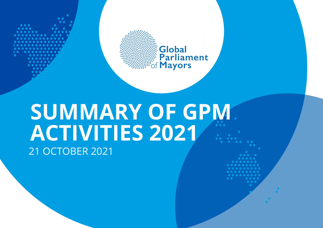



# **SUMMARY OF GPM ACTIVITIES 2021** 21 OCTOBER 2021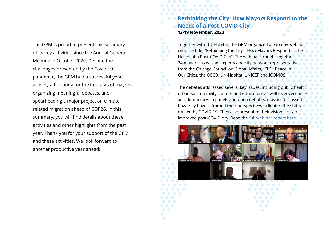The GPM is proud to present this summary of its key activities since the Annual General Meeting in October 2020. Despite the challenges presented by the Covid-19 pandemic, the GPM had a successful year, actively advocating for the interests of mayors, organizing meaningful debates, and spearheading a major project on climaterelated migration ahead of COP26. In this summary, you will find details about these activities and other highlights from the past year. Thank you for your support of the GPM and these activities. We look forward to another productive year ahead!

## **Rethinking the City: How Mayors Respond to the Needs of a Post-COVID City 12-19 November, 2020**

Together with UN-Habitat, the GPM organized a two-day webinar with the title, "Rethinking the City – How Mayors Respond to the Needs of a Post-COVID City". The webinar brought together 24 mayors, as well as experts and city network representatives from the Chicago Council on Global Affairs, ICLEI, Peace in Our Cities, the OECD, UN-Habitat, UNICEF and ICOMOS.

The debates addressed several key issues, including public health, urban sustainability, culture and education, as well as governance and democracy. In panels and open debates, mayors discussed how they have reframed their perspectives in light of the shifts caused by COVID-19. They also presented their visions for an improved post-COVID city. Read the full webinar report here.

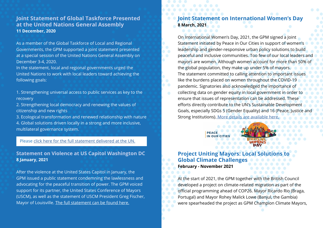#### **Joint Statement of Global Taskforce Presented at the United Nations General Assembly 11 December, 2020**

As a member of the Global Taskforce of Local and Regional Governments, the GPM supported a joint statement presented at a special session of the United Nations General Assembly on December 3-4, 2020.

In the statement, local and regional governments urged the United Nations to work with local leaders toward achieving the following goals:

1. Strengthening universal access to public services as key to the recovery

2. Strengthening local democracy and renewing the values of citizenship and new rights

3. Ecological transformation and renewed relationship with nature 4. Global solutions driven locally in a strong and more inclusive, multilateral governance system.

#### Please click here for the full statement delivered at the UN.

#### **Statement on Violence at US Capitol Washington DC 8 January, 2021**

After the violence at the United States Capitol in January, the GPM issued a public statement condemning the lawlessness and advocating for the peaceful transition of power. The GPM voiced support for its partner, the United States Conference of Mayors (USCM), as well as the statement of USCM President Greg Fischer, Mayor of Louisville. The full statement can be found here.

## **Statement on International Women's Day 8 March, 2021**

On International Women's Day, 2021, the GPM signed a Joint Statement initiated by Peace in Our Cities in support of women's leadership and gender-responsive urban policy solutions to build peaceful and inclusive communities. Too few of our local leaders and mayors are women. Although women account for more than 50% of the global population, they make up under 5% of mayors. The statement committed to calling attention to important issues like the burdens placed on women throughout the COVID-19 pandemic. Signatories also acknowledged the importance of collecting data on gender equity in local government in order to ensure that issues of representation can be addressed. These efforts directly contribute to the UN's Sustainable Development Goals, especially SDGs 5 (Gender Equality) and 16 (Peace, Justice a Strong Institutions). More details are available here.



## **Project Uniting Mayors: Local Solutions Global Climate Challenges February - November 2021**

At the start of 2021, the GPM together with the British Council developed a project on climate-related migration as part of the official programming ahead of COP26. Mayor Ricardo Rio (Braga, Portugal) and Mayor Rohey Malick Lowe (Banjul, the Gambia) were spearheaded the project as GPM Champion Climate Mayors,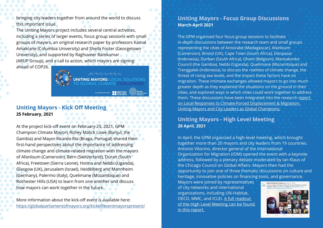bringing city leaders together from around the world to discuss this important issue.

The Uniting Mayors project includes several central activities, including a series of larger events, focus group sessions with small groups of mayors, an original research paper by professors Kamal Amakrane (Columbia University) and Sheila Foster (Georgetown University), and supported by Raghuveer Ramkumar (ARUP Group), and a call to action, which mayors are signing

ahead of COP26.



#### **Uniting Mayors - Kick Off Meeting 25 February, 2021**

At the project kick-off event on February 25, 2021, GPM Champion Climate Mayors Rohey Malick Lowe (Banjul, the Gambia) and Mayor Ricardo Rio (Braga, Portugal) shared their first-hand perspectives about the importance of addressing climate change and climate-related migration with the mayors of Afanloum (Cameroon), Bern (Switzerland), Duran (South Africa), Freetown (Sierra Leone), Hoima and Nebbi (Uganda), Glasgow (UK), Jerusalem (Israel), Heidelberg and Mannheim (Germany), Palermo (Italy), Quelimane (Mozambique) and Rochester Hills (USA) to learn from one another and discuss how mayors can work together in the future.

More information about the kick-off event is available here: https://globalparliamentofmayors.org/kickoffeventmayorspresent/

#### **Uniting Mayors - Focus Group Discussions March-April 2021**

The GPM organized four focus group sessions to facilitate in-depth discussions between the research team and small groups representing the cities of Antsirabe (Madagascar), Afanloum (Cameroon), Bristol (UK), Cape Town (South Africa), Denpasar (Indonesia), Durban (South Africa), Ghent (Belgium), Mansakonko Council (the Gambia), Nebbi (Uganda), Quelimane (Mozambique) and Trenggalek (Indonesia), to discuss the realities of climate change, the threat of rising sea levels, and the impact these factors have on migration. These intimate exchanges allowed mayors to go into much greater depth as they explained the situations on the ground in their cities, and explored ways in which cities could work together to address them. These discussions have been integrated into the research report on Local Responses to Climate-Forced Displacement & Migration: Uniting Mayors and City Leaders as Global Champions.

## **Uniting Mayors - High Level Meeting 20 April, 2021**

In April, the GPM organized a high-level meeting, which brought together more than 20 mayors and city leaders from 19 countries. Antonio Vitorino, director general of the International Organization for Migration (IOM) opened the event with a keynote address, followed by a plenary debate moderated by Ian Klaus of the Chicago Council on Global Affairs. Mayors then had the opportunity to join one of three thematic discussions on culture and heritage, innovative policies on financing tools, and governance.

Mayors were joined by representatives of city networks and international organizations, including UN-Habitat, OECD, MMC, and ICLEI. A full readout of the High Level Meeting can be found in this report.

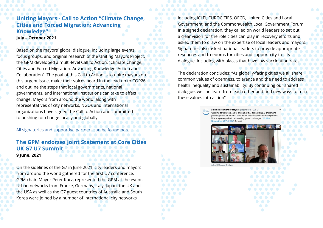# **Uniting Mayors - Call to Action "Climate Change, Cities and Forced Migration: Advancing Knowledge"**

#### **July – October 2021**

Based on the mayors' global dialogue, including large events, focus groups, and original research of the Uniting Mayors Project, the GPM developed a multi-level Call to Action, "Climate Change, Cities and Forced Migration: Advancing Knowledge, Action and Collaboration". The goal of this Call to Action is to unite mayors on this urgent issue, make their voices heard in the lead up to COP26, and outline the steps that local governments, national governments, and international institutions can take to affect change. Mayors from around the world, along with representatives of city networks, NGOs and international organizations have signed the Call to Action and committed to pushing for change locally and globally.

All signatories and supportive partners

## **The GPM endorses Joint UK G7 U7 Summit 9 June, 2021**

On the sidelines of the G7 in June 2021, city leaders and mayors from around the world gathered for the first U7 conference. GPM chair, Mayor Peter Kurz, represented the GPM at the event. Urban networks from France, Germany, Italy, Japan, the UK and the USA as well as the G7 guest countries of Australia and South Korea were joined by a number of international city networks

including ICLEI, EUROCITIES, OECD, United Cities and Local Government, and the Commonwealth Local Government Forum. In a signed declaration, they called on world leaders to set out a clear vision for the role cities can play in recovery efforts and asked them to draw on the expertise of local leaders and mayors. Signatories also asked national leaders to provide appropriate resources and freedoms for cities and support city-to-city dialogue, including with places that have low vaccination rates.

The declaration concludes: "As globally-facing cities we all share common values of openness, tolerance and the need to address health inequality and sustainability. By continuing our shared dialogue, we can learn from each other and find new ways to turn these values into action".

> "Existing structures need to change. Cities cannot simply global agendas or national laws: we must actively shape these polici-This is a prerequisite to addressing global challenges

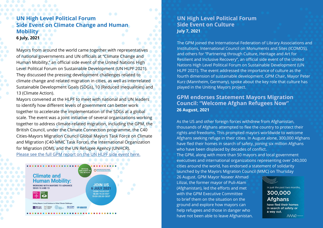# **UN High Level Political Forum Side Event on Climate Change and Human Mobility 6 July, 2021**

Mayors from around the world came together with representatives of national governments and UN officials at "Climate Change and Human Mobility," an official side event of the United Nations High Level Political Forum on Sustainable Development (UN HLPF 2021). They discussed the pressing development challenges related to climate change and related migration in cities, as well as interrelated Sustainable Development Goals (SDGs), 10 (Reduced Inequalities) and 13 (Climate Action).

Mayors convened at the HLPF to meet with national and UN leaders to identify how different levels of government can better work together to accelerate the implementation of the SDGs at a global scale. The event was a joint initiative of several organizations working together to address climate-related migration, including the GPM, the British Council, under the Climate Connection programme, the C40 Cities-Mayors Migration Council Global Mayors Task Force on Climate and Migration (C40-MMC Task Force), the International Organization for Migration (IOM), and the UN Refugee Agency (UNHCR). Please see the full GPM report on the UN HLPF side event here.



## **UN High Level Political Forum Side Event on Culture July 7, 2021**

The GPM joined the International Federation of Library Associations and Institutions, International Council on Monuments and Sites (ICOMOS), and others for "Partnering through Culture, Heritage and Art for Resilient and Inclusive Recovery", an official side event of the United Nations High Level Political Forum on Sustainable Development (UN HLPF 2021). The event addressed the importance of culture as the fourth dimension of sustainable development. GPM Chair, Mayor Peter Kurz (Mannheim, Germany), spoke about the key role that culture has played in the Uniting Mayors project.

#### **GPM endorses Statement Mayors Migration Council: "Welcome Afghan Refugees Now" 26 August, 2021**

As the US and other foreign forces withdrew from Afghanistan, thousands of Afghans attempted to flee the country to protect their rights and freedoms. This prompted mayors worldwide to welcome Afghans seeking refuge in their cities. In August alone, 300,000 Afghans have fled their homes in search of safety, joining six million Afghans who have been displaced by decades of conflict.

The GPM, along with more than 50 mayors and local government executives and international organizations representing over 240,000 cities around the world, has endorsed a statement of solidarity launched by the Mayors Migration Council (MMC) on Thursday

26 August. GPM Mayor Naseer Ahmad Lilizai, the former mayor of Puli-Alam (Afghanistan), led the efforts and met with the GPM Executive Committee to brief them on the situation on the ground and explore how mayors can help refugees and those in danger who have not been able to leave Afghanistan.



300.000 **Afghans** have fled their homes

in search of safety or a way out.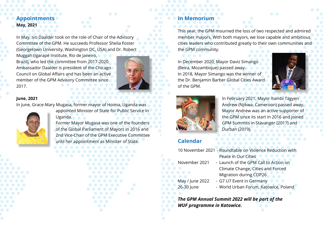# **Appointments May, 2021**

In May, Ivo Daalder took on the role of Chair of the Advisory Committee of the GPM. He succeeds Professor Sheila Foster (Georgetown University, Washington DC, USA) and Dr. Robert

Muggah (Igarapé Institute, Rio de Janeiro, Brazil), who led the committee from 2017-2020. Ambassador Daalder is president of the Chicago Council on Global Affairs and has been an active member of the GPM Advisory Committee since 2017.



#### **June, 2021**

In June, Grace-Mary Mugasa, former mayor of Hoima, Uganda was

appointed Minister of State for Public Service in



Uganda.

Former Mayor Mugasa was one of the founders of the Global Parliament of Mayors in 2016 and 2nd Vice-Chair of the GPM Executive Committee until her appointment as Minister of State.



# **In Memorium**

This year, the GPM mourned the loss of two respected and admired member mayors. With both mayors, we lose capable and ambitious cities leaders who contributed greatly to their own communities and the GPM community.

In December 2020, Mayor Daviz Simango (Beira, Mozambique) passed away. In 2018, Mayor Simango was the winner of the Dr. Benjamin Barber Global Cities Award of the GPM.





In February 2021, Mayor Itambi Tagyen Andrew (Njikwa, Cameroon) passed away. Mayor Andrew was an active supporter of the GPM since its start in 2016 and joined GPM Summits in Stavanger (2017) and Durban (2019).

## **Calendar**

- 10 November 2021 Roundtable on Violence Redu Peace in Our Cities November 2021 - Launch of the GPM Call to Action on Climate Change, Cities and Forced Migration during COP26 May / June 2022 - G7 U7 Event in Germany
- 
- 

26-30 June - World Urban Forum, Katowice, Poland

*The GPM Annual Summit 2022 will be part of the WUF programme in Katowice.*